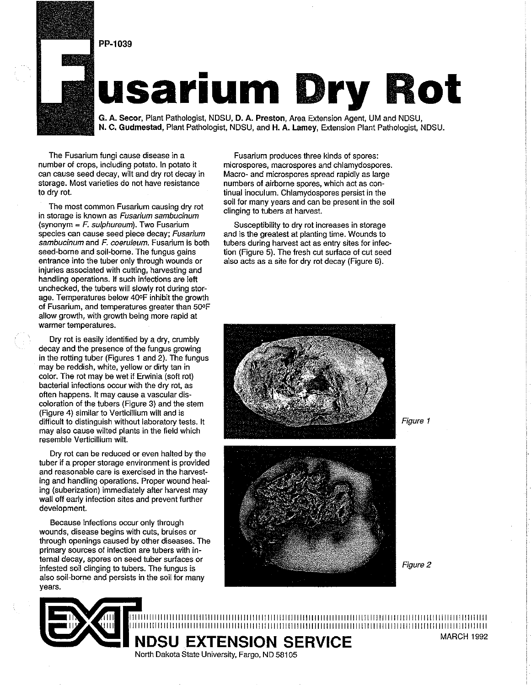



# **usarium Dry Rot** -

G. **A.** Secor, Plant Patnologist, NDSU, D. **A.** Preston, Area Exlens:on Agent, UM and NDSU, N. **C.** Gudmestad, Plant Pathologist, NDSU, and H. **A.** Lamey, Extension Plant Pathologist, NDSU.

The Fusarium fungi cause disease in a number of crops, including potato. In potato it can cause seed decay, wilt and dry rot decay in storage. Most varieties do not have resistance to dry rot.

The most common Fusarium causing dry rot in storage is known as Fusarium sambucinum (synonym  $=$  F. sulphureum). Two Fusarium species can cause seed piece decay; Fusarium sambucinum and F. coeruleum. Fusarium is both seed-borne and soil-borne. The fungus gains entrance into the tuber only through wounds or injuries associated with cutting, hawesting and handling operations. If such infections are left unchecked, the tubers will slowly rot during storage. Temperatures below 400F inhibit the growth of Fusarium, and temperatures greater than 500F allow growth, with growth being more rapid at warmer temperatures.

Dry rot is easily identified by a dry, crumbly decay and the presence of the fungus growing in the rotting tuber (Figures 1 and 2). The fungus may be reddish, white, yellow or dirty tan in color. The rot may be wet if Erwinia (soft rot) bacterial infections occur with the dry rot, as often happens. It may cause a vascular dis-<br>coloration of the tubers (Figure 3) and the stem (Figure 4) similar to Verticillium wilt and is difficult to distinguish without laboratory tests. It may also cause wilted plants in the field which resemble Verticillium wilt.

Dry rot can be reduced or even halted by the tuber if a proper storage environment is provided and reasonable care is exercised in the hawesting and handling operations. Proper wound healing (suberization) immediately after harvest may wall off early infection sites and prevent further development.

Because infections occur only through wounds, disease begins with cuts, bruises or through openings caused by other diseases. The primary sources of infection are tubers with internal decay, spores on seed tuber surfaces or infested soil clinging to tubers. The fungus is also soil-borne and persists in the soil for many years.

Fusarium produces three kinds of spores: microspores, macrospores and chlamydospores. Macro- and microspores spread rapidly as large numbers of airborne spores, which act as continual inoculum. Chlamydospores persist in the soil for many years and can be present in the soil clinging to tubers at hawest.

Susceptibility to dry rot increases in storage and is the greatest at planting time. Wounds to tubers during hawest act as entry sites for infection (Figure 5). The fresh cut surface of cut seed also acts as a site for dry rot decay (Figure 6).





Figure 2

11111111111111111111llllllllllllllllllllllllllllllllllllllllllllllllllllllllllllllllllllllllllllllllllllllllllllllllllllll 11111111111111111111llllllllllllllllllllllllll~lllllllllllllllllllllllllllllllllllllllllllllllllllllllllllllllllllllllllll **NDSU EXTENSION SERVICE** MARCH 1992

North Dakota State University, Fargo, ND 58105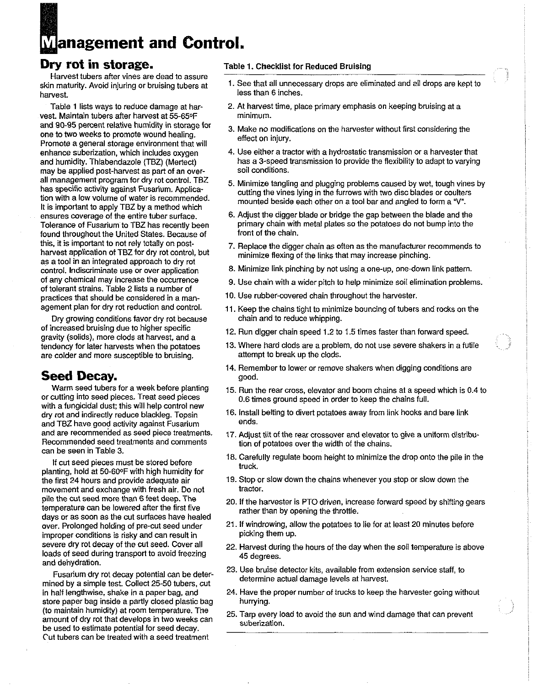# **Management and Control.**

## **Dry rot in storage.**

Harvest tubers after vines are dead to assure harvest. **less than 6 inches.** 

vest. Maintain tubers after harvest at 55-65°F and 90-95 percent relative humidity in storage for 3. Make no modifications on the harvester without first considering the one to two weeks to promote wound healing.<br>Promote a general storage environment that will effect o may be applied post-harvest as part of an over-<br>all management program for dry rot control. TBZ found throughout the United States. Because of this, it is important to not rely totally on postas a tool in an integrated approach to dry rot control. Indiscriminate use or over application and the Minimize link pinching by not using a one-up, one-down link pattern.<br>
of any chemical may increase the occurrence of the chain with a wider pitch to below minimize co of any chemical may increase the occurrence 9. Use chain with a wider pitch to help minimize soil elimination problems.<br>of tolerant strains. Table 2 lists a number of practices that should be considered in a man-<br> $10.$  Use practices that should be considered in a man-<br>agement plan for dry rot reduction and control. 11 Keep the chains tight to minimize houncing of tubers

Dry growing conditions favor dry rot because of increased bruising due to higher specific 12. Run digger chain speed 1.2 to 1.5 times faster than forward speed.<br>gravity (solids), more clods at harvest, and a 13. Where hard clods are a problem, do not use severe shake are colder and more susceptible to bruising.

### **Seed Decay.**

Warm seed tubers for a week before planting or cutting into seed pieces. Treat seed pieces with a fungicidal dust: this will help control new dry rot and indirectly reduce blackleg. Topsin and TBZ have good activity against Fusarium and are recommended as seed piece treatments. Recommended seed treatments and comments can be seen in Table 3.

If cut seed pieces must be stored before planting, hold at 50-600F with high humidity for the first 24 hours and provide adequate air movement and exchange with fresh air. Do not pile the cut seed more than 6 feet deep. The 20. If the harvester is PTO driven, increase forward speed by shifting gears<br>temperature can be lowered after the first five rather than by opening the throttle.<br>days or as soon improper conditions is risky and can result in loads of seed during transport to avoid freezing 45 degrees.<br>and dehydration.

mined by a simple test. Collect 25-50 tubers, cut store paper bag inside a partly closed plastic bag (to maintain humidity) at room temperature. The 25. Tarp every load to avoid the sun and wind damage that can prevent amount of dry rot that develops in two weeks can suberization. be used to estimate potential for seed de Cut tubers can be treated with a seed treatment

#### Table 1. Checklist for Reduced Bruising

- skin maturity. Avoid injuring or bruising tubers at 1. See that all unnecessary drops are eliminated and all drops are kept to
	- Table 1 lists ways to reduce damage at har- 2. At harvest time, place primary emphasis on keeping bruising at a<br>st. Maintain tubers after harvest at 55-65°F minimum.
		-
- enhance suberization, which includes oxygen 4. Use either a tractor with a hydrostatic transmission or a harvester that and humidity. Thiabendazole (TBZ) (Mertect) has a 3-speed transmission to provide the flexibility to adapt to varying<br>may be applied post-harvest as part of an over-
- all management program for dry for control. IBZ<br>has specific activity against Fusarium. Applica-<br>tion with a low volume of water is recommended.<br>It is important to apply TBZ by a method which<br>It is important to apply TBZ b
- ensures coverage of the entire tuber surface. 6. Adjust the digger blade or bridge the gap between the blade and the Tolerance of Fusarium to TBZ has recently been primary chain with metal plates so the potatoes do not bump into the<br>found throughout the United States, Because of front of the chain.
- this, it is important to not rely totally on post-<br>harvest application of TBZ for dry rot control, but<br>minimize floving of the links that may increase pinching minimize flexing of the links that may increase pinching.
	-
	-
	-
	- 11. Keep the chains tight to minimize bouncing of tubers and rocks on the chain and to reduce whipping.
	-
	- 13. Where hard clods are a problem, do not use severe shakers in a futile attempt to break up the clods.
	- 14. Remember to lower or remove shakers when digging conditions are good.
	- 15. Run the rear cross, elevator and boom chains at a speed which is 0.4 to 0.6 times ground speed in order to keep the chains full.
	- 16. Install belting to divert potatoes away from link hooks and bare link ends.
	- 17. Adjust tilt of the rear crossover and elevator to give a uniform distribution of potatoes over the width of the chains.
	- 18. Carefully regulate boom height to minimize the drop onto the pile in the truck.
	- 19. Stop or slow down the chains whenever you stop or slow down the tractor.
	-
- over. Prolonged holding of pre-cut seed under 21. If windrowing, allow the potatoes to lie for at least 20 minutes before<br>improper conditions is risky and can result in picking them up.
- severe dry rot decay of the cut seed. Cover all 22. Harvest during the hours of the day when the soil temperature is above
	- Fusarium dry rot decay potential can be deter-<br>Fusarium dry rot decay potential can be deter-<br>set by a simple test. Online of FO tribers and sectermine actual damage levels at harvest.
- in half lengthwise, shake in a paper bag, and 24. Have the proper number of trucks to keep the harvester going without store paper baa inside a partly closed plastic bag. hurrying.
	-